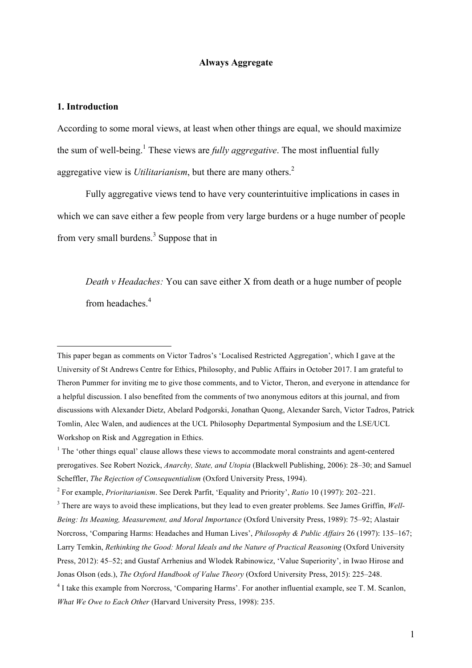## **Always Aggregate**

#### **1. Introduction**

According to some moral views, at least when other things are equal, we should maximize the sum of well-being.<sup>1</sup> These views are *fully aggregative*. The most influential fully aggregative view is *Utilitarianism*, but there are many others.<sup>2</sup>

Fully aggregative views tend to have very counterintuitive implications in cases in which we can save either a few people from very large burdens or a huge number of people from very small burdens.<sup>3</sup> Suppose that in

*Death v Headaches:* You can save either X from death or a huge number of people from headaches<sup>4</sup>

 This paper began as comments on Victor Tadros's 'Localised Restricted Aggregation', which I gave at the University of St Andrews Centre for Ethics, Philosophy, and Public Affairs in October 2017. I am grateful to Theron Pummer for inviting me to give those comments, and to Victor, Theron, and everyone in attendance for a helpful discussion. I also benefited from the comments of two anonymous editors at this journal, and from discussions with Alexander Dietz, Abelard Podgorski, Jonathan Quong, Alexander Sarch, Victor Tadros, Patrick Tomlin, Alec Walen, and audiences at the UCL Philosophy Departmental Symposium and the LSE/UCL Workshop on Risk and Aggregation in Ethics.

<sup>&</sup>lt;sup>1</sup> The 'other things equal' clause allows these views to accommodate moral constraints and agent-centered prerogatives. See Robert Nozick, *Anarchy, State, and Utopia* (Blackwell Publishing, 2006): 28–30; and Samuel Scheffler, *The Rejection of Consequentialism* (Oxford University Press, 1994).

<sup>2</sup> For example, *Prioritarianism*. See Derek Parfit, 'Equality and Priority', *Ratio* 10 (1997): 202–221.

<sup>3</sup> There are ways to avoid these implications, but they lead to even greater problems. See James Griffin, *Well-Being: Its Meaning, Measurement, and Moral Importance* (Oxford University Press, 1989): 75–92; Alastair Norcross, 'Comparing Harms: Headaches and Human Lives', *Philosophy & Public Affairs* 26 (1997): 135–167; Larry Temkin, *Rethinking the Good: Moral Ideals and the Nature of Practical Reasoning* (Oxford University Press, 2012): 45–52; and Gustaf Arrhenius and Wlodek Rabinowicz, 'Value Superiority', in Iwao Hirose and Jonas Olson (eds.), *The Oxford Handbook of Value Theory* (Oxford University Press, 2015): 225–248.

<sup>&</sup>lt;sup>4</sup> I take this example from Norcross, 'Comparing Harms'. For another influential example, see T. M. Scanlon, *What We Owe to Each Other* (Harvard University Press, 1998): 235.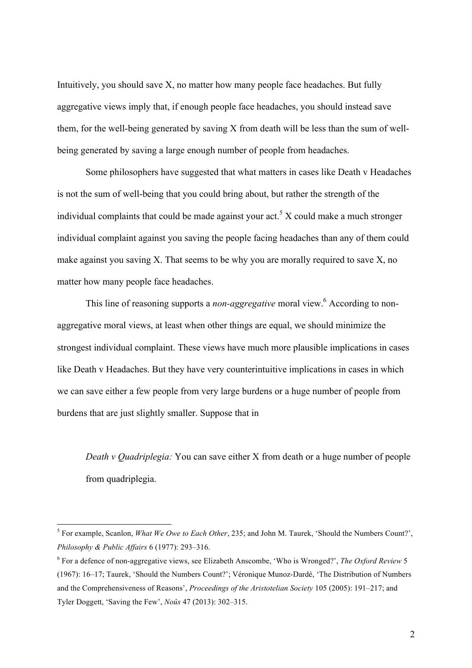Intuitively, you should save X, no matter how many people face headaches. But fully aggregative views imply that, if enough people face headaches, you should instead save them, for the well-being generated by saving X from death will be less than the sum of wellbeing generated by saving a large enough number of people from headaches.

Some philosophers have suggested that what matters in cases like Death v Headaches is not the sum of well-being that you could bring about, but rather the strength of the individual complaints that could be made against your act.<sup>5</sup> X could make a much stronger individual complaint against you saving the people facing headaches than any of them could make against you saving X. That seems to be why you are morally required to save X, no matter how many people face headaches.

This line of reasoning supports a *non-aggregative* moral view.6 According to nonaggregative moral views, at least when other things are equal, we should minimize the strongest individual complaint. These views have much more plausible implications in cases like Death v Headaches. But they have very counterintuitive implications in cases in which we can save either a few people from very large burdens or a huge number of people from burdens that are just slightly smaller. Suppose that in

*Death v Quadriplegia:* You can save either X from death or a huge number of people from quadriplegia.

 <sup>5</sup> For example, Scanlon, *What We Owe to Each Other*, 235; and John M. Taurek, 'Should the Numbers Count?', *Philosophy & Public Affairs* 6 (1977): 293–316.

<sup>6</sup> For a defence of non-aggregative views, see Elizabeth Anscombe, 'Who is Wronged?', *The Oxford Review* 5 (1967): 16–17; Taurek, 'Should the Numbers Count?'; Véronique Munoz-Dardé, 'The Distribution of Numbers and the Comprehensiveness of Reasons', *Proceedings of the Aristotelian Society* 105 (2005): 191–217; and Tyler Doggett, 'Saving the Few', *Noûs* 47 (2013): 302–315.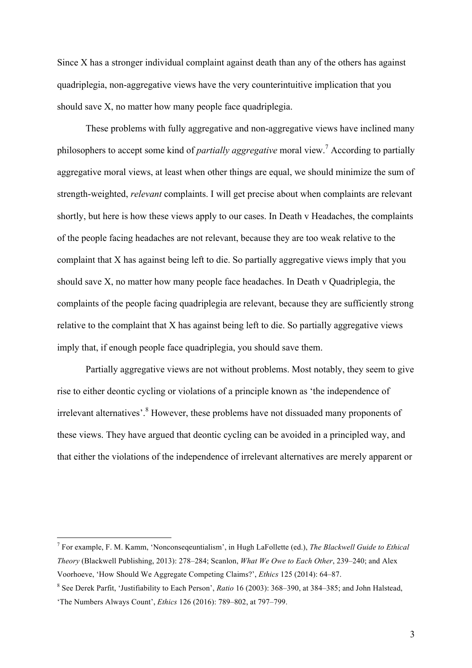Since X has a stronger individual complaint against death than any of the others has against quadriplegia, non-aggregative views have the very counterintuitive implication that you should save X, no matter how many people face quadriplegia.

These problems with fully aggregative and non-aggregative views have inclined many philosophers to accept some kind of *partially aggregative* moral view.7 According to partially aggregative moral views, at least when other things are equal, we should minimize the sum of strength-weighted, *relevant* complaints. I will get precise about when complaints are relevant shortly, but here is how these views apply to our cases. In Death v Headaches, the complaints of the people facing headaches are not relevant, because they are too weak relative to the complaint that X has against being left to die. So partially aggregative views imply that you should save X, no matter how many people face headaches. In Death v Quadriplegia, the complaints of the people facing quadriplegia are relevant, because they are sufficiently strong relative to the complaint that X has against being left to die. So partially aggregative views imply that, if enough people face quadriplegia, you should save them.

Partially aggregative views are not without problems. Most notably, they seem to give rise to either deontic cycling or violations of a principle known as 'the independence of irrelevant alternatives'. <sup>8</sup> However, these problems have not dissuaded many proponents of these views. They have argued that deontic cycling can be avoided in a principled way, and that either the violations of the independence of irrelevant alternatives are merely apparent or

 <sup>7</sup> For example, F. M. Kamm, 'Nonconseqeuntialism', in Hugh LaFollette (ed.), *The Blackwell Guide to Ethical Theory* (Blackwell Publishing, 2013): 278–284; Scanlon, *What We Owe to Each Other*, 239–240; and Alex Voorhoeve, 'How Should We Aggregate Competing Claims?', *Ethics* 125 (2014): 64–87.

<sup>8</sup> See Derek Parfit, 'Justifiability to Each Person', *Ratio* 16 (2003): 368–390, at 384–385; and John Halstead, 'The Numbers Always Count', *Ethics* 126 (2016): 789–802, at 797–799.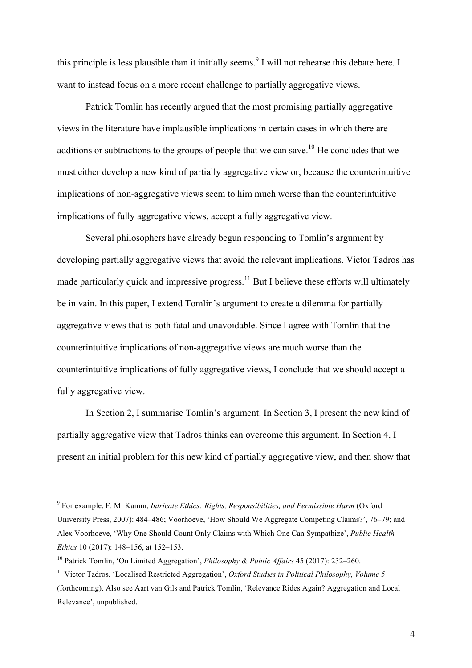this principle is less plausible than it initially seems.<sup>9</sup> I will not rehearse this debate here. I want to instead focus on a more recent challenge to partially aggregative views.

Patrick Tomlin has recently argued that the most promising partially aggregative views in the literature have implausible implications in certain cases in which there are additions or subtractions to the groups of people that we can save.<sup>10</sup> He concludes that we must either develop a new kind of partially aggregative view or, because the counterintuitive implications of non-aggregative views seem to him much worse than the counterintuitive implications of fully aggregative views, accept a fully aggregative view.

Several philosophers have already begun responding to Tomlin's argument by developing partially aggregative views that avoid the relevant implications. Victor Tadros has made particularly quick and impressive progress.<sup>11</sup> But I believe these efforts will ultimately be in vain. In this paper, I extend Tomlin's argument to create a dilemma for partially aggregative views that is both fatal and unavoidable. Since I agree with Tomlin that the counterintuitive implications of non-aggregative views are much worse than the counterintuitive implications of fully aggregative views, I conclude that we should accept a fully aggregative view.

In Section 2, I summarise Tomlin's argument. In Section 3, I present the new kind of partially aggregative view that Tadros thinks can overcome this argument. In Section 4, I present an initial problem for this new kind of partially aggregative view, and then show that

 <sup>9</sup> For example, F. M. Kamm, *Intricate Ethics: Rights, Responsibilities, and Permissible Harm* (Oxford University Press, 2007): 484–486; Voorhoeve, 'How Should We Aggregate Competing Claims?', 76–79; and Alex Voorhoeve, 'Why One Should Count Only Claims with Which One Can Sympathize', *Public Health Ethics* 10 (2017): 148–156, at 152–153.

<sup>10</sup> Patrick Tomlin, 'On Limited Aggregation', *Philosophy & Public Affairs* 45 (2017): 232–260.

<sup>11</sup> Victor Tadros, 'Localised Restricted Aggregation', *Oxford Studies in Political Philosophy, Volume 5* (forthcoming). Also see Aart van Gils and Patrick Tomlin, 'Relevance Rides Again? Aggregation and Local Relevance', unpublished.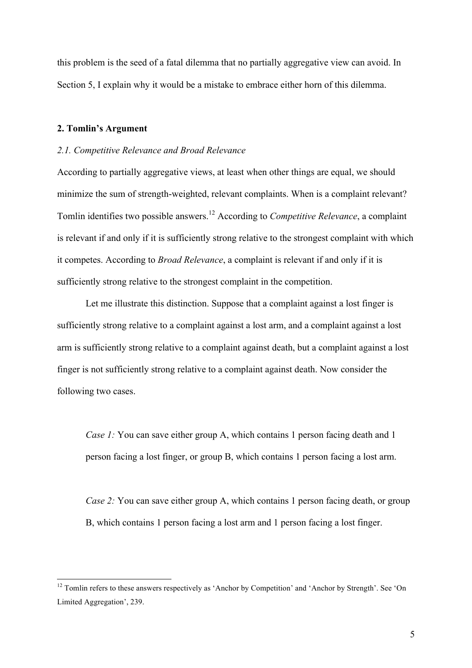this problem is the seed of a fatal dilemma that no partially aggregative view can avoid. In Section 5, I explain why it would be a mistake to embrace either horn of this dilemma.

## **2. Tomlin's Argument**

#### *2.1. Competitive Relevance and Broad Relevance*

According to partially aggregative views, at least when other things are equal, we should minimize the sum of strength-weighted, relevant complaints. When is a complaint relevant? Tomlin identifies two possible answers. <sup>12</sup> According to *Competitive Relevance*, a complaint is relevant if and only if it is sufficiently strong relative to the strongest complaint with which it competes. According to *Broad Relevance*, a complaint is relevant if and only if it is sufficiently strong relative to the strongest complaint in the competition.

Let me illustrate this distinction. Suppose that a complaint against a lost finger is sufficiently strong relative to a complaint against a lost arm, and a complaint against a lost arm is sufficiently strong relative to a complaint against death, but a complaint against a lost finger is not sufficiently strong relative to a complaint against death. Now consider the following two cases.

*Case 1:* You can save either group A, which contains 1 person facing death and 1 person facing a lost finger, or group B, which contains 1 person facing a lost arm.

*Case 2:* You can save either group A, which contains 1 person facing death, or group B, which contains 1 person facing a lost arm and 1 person facing a lost finger.

<sup>&</sup>lt;sup>12</sup> Tomlin refers to these answers respectively as 'Anchor by Competition' and 'Anchor by Strength'. See 'On Limited Aggregation', 239.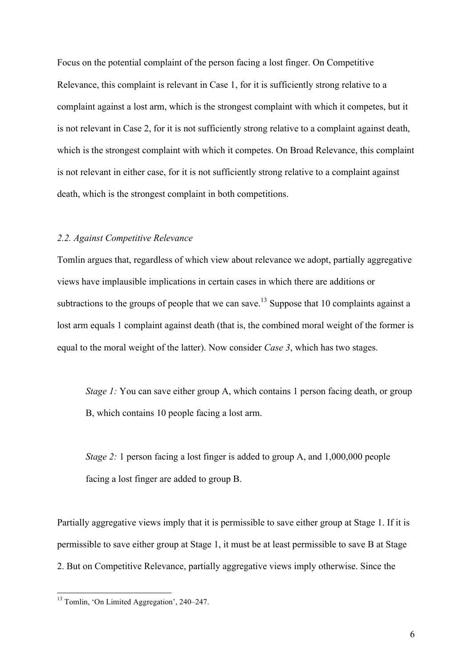Focus on the potential complaint of the person facing a lost finger. On Competitive Relevance, this complaint is relevant in Case 1, for it is sufficiently strong relative to a complaint against a lost arm, which is the strongest complaint with which it competes, but it is not relevant in Case 2, for it is not sufficiently strong relative to a complaint against death, which is the strongest complaint with which it competes. On Broad Relevance, this complaint is not relevant in either case, for it is not sufficiently strong relative to a complaint against death, which is the strongest complaint in both competitions.

## *2.2. Against Competitive Relevance*

Tomlin argues that, regardless of which view about relevance we adopt, partially aggregative views have implausible implications in certain cases in which there are additions or subtractions to the groups of people that we can save.<sup>13</sup> Suppose that 10 complaints against a lost arm equals 1 complaint against death (that is, the combined moral weight of the former is equal to the moral weight of the latter). Now consider *Case 3*, which has two stages.

*Stage 1:* You can save either group A, which contains 1 person facing death, or group B, which contains 10 people facing a lost arm.

*Stage 2:* 1 person facing a lost finger is added to group A, and 1,000,000 people facing a lost finger are added to group B.

Partially aggregative views imply that it is permissible to save either group at Stage 1. If it is permissible to save either group at Stage 1, it must be at least permissible to save B at Stage 2. But on Competitive Relevance, partially aggregative views imply otherwise. Since the

 <sup>13</sup> Tomlin, 'On Limited Aggregation', 240–247.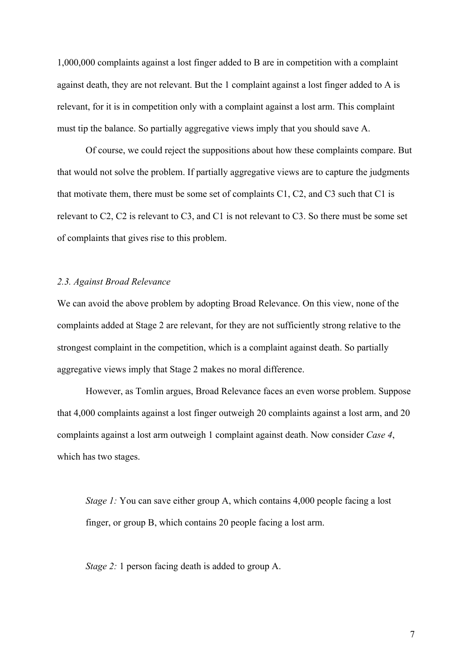1,000,000 complaints against a lost finger added to B are in competition with a complaint against death, they are not relevant. But the 1 complaint against a lost finger added to A is relevant, for it is in competition only with a complaint against a lost arm. This complaint must tip the balance. So partially aggregative views imply that you should save A.

Of course, we could reject the suppositions about how these complaints compare. But that would not solve the problem. If partially aggregative views are to capture the judgments that motivate them, there must be some set of complaints  $C_1$ ,  $C_2$ , and  $C_3$  such that  $C_1$  is relevant to C2, C2 is relevant to C3, and C1 is not relevant to C3. So there must be some set of complaints that gives rise to this problem.

## *2.3. Against Broad Relevance*

We can avoid the above problem by adopting Broad Relevance. On this view, none of the complaints added at Stage 2 are relevant, for they are not sufficiently strong relative to the strongest complaint in the competition, which is a complaint against death. So partially aggregative views imply that Stage 2 makes no moral difference.

However, as Tomlin argues, Broad Relevance faces an even worse problem. Suppose that 4,000 complaints against a lost finger outweigh 20 complaints against a lost arm, and 20 complaints against a lost arm outweigh 1 complaint against death. Now consider *Case 4*, which has two stages.

*Stage 1:* You can save either group A, which contains 4,000 people facing a lost finger, or group B, which contains 20 people facing a lost arm.

*Stage 2:* 1 person facing death is added to group A.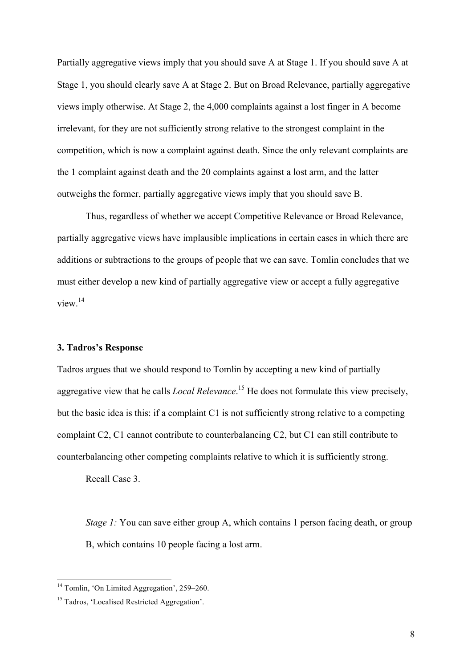Partially aggregative views imply that you should save A at Stage 1. If you should save A at Stage 1, you should clearly save A at Stage 2. But on Broad Relevance, partially aggregative views imply otherwise. At Stage 2, the 4,000 complaints against a lost finger in A become irrelevant, for they are not sufficiently strong relative to the strongest complaint in the competition, which is now a complaint against death. Since the only relevant complaints are the 1 complaint against death and the 20 complaints against a lost arm, and the latter outweighs the former, partially aggregative views imply that you should save B.

Thus, regardless of whether we accept Competitive Relevance or Broad Relevance, partially aggregative views have implausible implications in certain cases in which there are additions or subtractions to the groups of people that we can save. Tomlin concludes that we must either develop a new kind of partially aggregative view or accept a fully aggregative view. 14

### **3. Tadros's Response**

Tadros argues that we should respond to Tomlin by accepting a new kind of partially aggregative view that he calls *Local Relevance*. <sup>15</sup> He does not formulate this view precisely, but the basic idea is this: if a complaint C1 is not sufficiently strong relative to a competing complaint C2, C1 cannot contribute to counterbalancing C2, but C1 can still contribute to counterbalancing other competing complaints relative to which it is sufficiently strong.

Recall Case 3.

*Stage 1:* You can save either group A, which contains 1 person facing death, or group B, which contains 10 people facing a lost arm.

 $14$  Tomlin, 'On Limited Aggregation', 259–260.

<sup>&</sup>lt;sup>15</sup> Tadros, 'Localised Restricted Aggregation'.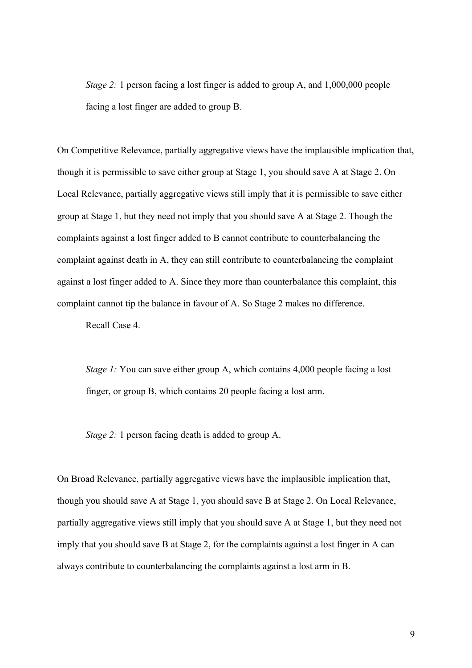*Stage 2:* 1 person facing a lost finger is added to group A, and 1,000,000 people facing a lost finger are added to group B.

On Competitive Relevance, partially aggregative views have the implausible implication that, though it is permissible to save either group at Stage 1, you should save A at Stage 2. On Local Relevance, partially aggregative views still imply that it is permissible to save either group at Stage 1, but they need not imply that you should save A at Stage 2. Though the complaints against a lost finger added to B cannot contribute to counterbalancing the complaint against death in A, they can still contribute to counterbalancing the complaint against a lost finger added to A. Since they more than counterbalance this complaint, this complaint cannot tip the balance in favour of A. So Stage 2 makes no difference.

Recall Case 4.

*Stage 1:* You can save either group A, which contains 4,000 people facing a lost finger, or group B, which contains 20 people facing a lost arm.

*Stage 2:* 1 person facing death is added to group A.

On Broad Relevance, partially aggregative views have the implausible implication that, though you should save A at Stage 1, you should save B at Stage 2. On Local Relevance, partially aggregative views still imply that you should save A at Stage 1, but they need not imply that you should save B at Stage 2, for the complaints against a lost finger in A can always contribute to counterbalancing the complaints against a lost arm in B.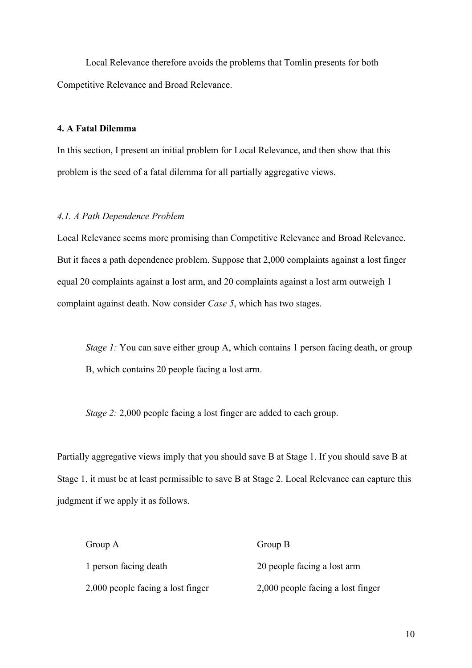Local Relevance therefore avoids the problems that Tomlin presents for both Competitive Relevance and Broad Relevance.

## **4. A Fatal Dilemma**

In this section, I present an initial problem for Local Relevance, and then show that this problem is the seed of a fatal dilemma for all partially aggregative views.

#### *4.1. A Path Dependence Problem*

Local Relevance seems more promising than Competitive Relevance and Broad Relevance. But it faces a path dependence problem. Suppose that 2,000 complaints against a lost finger equal 20 complaints against a lost arm, and 20 complaints against a lost arm outweigh 1 complaint against death. Now consider *Case 5*, which has two stages.

*Stage 1:* You can save either group A, which contains 1 person facing death, or group B, which contains 20 people facing a lost arm.

*Stage 2: 2,000* people facing a lost finger are added to each group.

Partially aggregative views imply that you should save B at Stage 1. If you should save B at Stage 1, it must be at least permissible to save B at Stage 2. Local Relevance can capture this judgment if we apply it as follows.

| Group A                           | Group B                             |
|-----------------------------------|-------------------------------------|
| 1 person facing death             | 20 people facing a lost arm         |
| 2,000 people facing a lost finger | $2,000$ people facing a lost finger |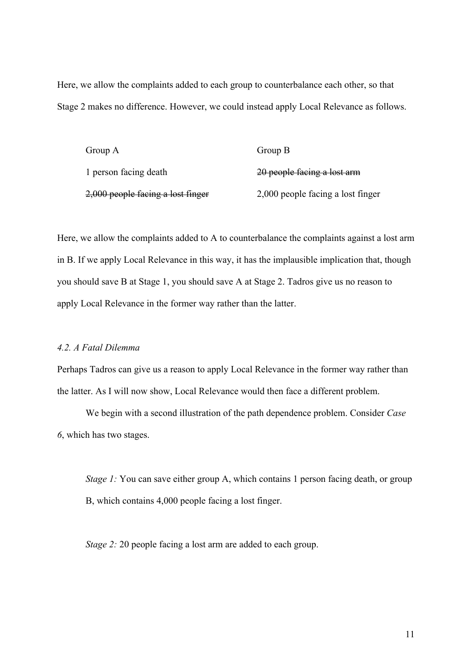Here, we allow the complaints added to each group to counterbalance each other, so that Stage 2 makes no difference. However, we could instead apply Local Relevance as follows.

| Group A                           | Group B                           |
|-----------------------------------|-----------------------------------|
| 1 person facing death             | 20 people facing a lost arm       |
| 2,000 people facing a lost finger | 2,000 people facing a lost finger |

Here, we allow the complaints added to A to counterbalance the complaints against a lost arm in B. If we apply Local Relevance in this way, it has the implausible implication that, though you should save B at Stage 1, you should save A at Stage 2. Tadros give us no reason to apply Local Relevance in the former way rather than the latter.

### *4.2. A Fatal Dilemma*

Perhaps Tadros can give us a reason to apply Local Relevance in the former way rather than the latter. As I will now show, Local Relevance would then face a different problem.

We begin with a second illustration of the path dependence problem. Consider *Case 6*, which has two stages.

*Stage 1:* You can save either group A, which contains 1 person facing death, or group B, which contains 4,000 people facing a lost finger.

*Stage 2:* 20 people facing a lost arm are added to each group.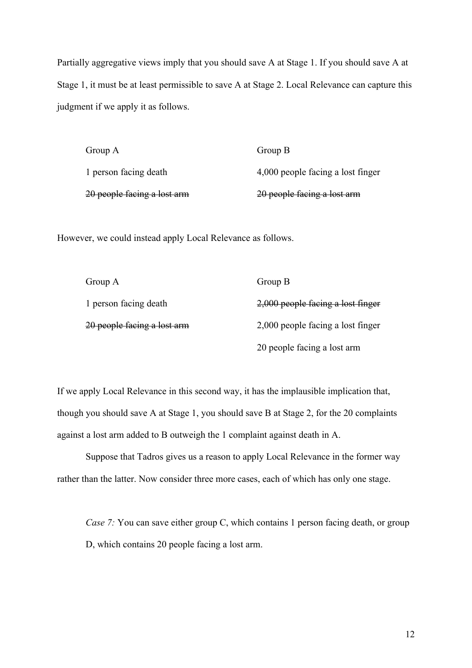Partially aggregative views imply that you should save A at Stage 1. If you should save A at Stage 1, it must be at least permissible to save A at Stage 2. Local Relevance can capture this judgment if we apply it as follows.

| Group A                     | Group B                           |
|-----------------------------|-----------------------------------|
| 1 person facing death       | 4,000 people facing a lost finger |
| 20 people facing a lost arm | 20 people facing a lost arm       |

However, we could instead apply Local Relevance as follows.

| Group A                     | Group B                             |
|-----------------------------|-------------------------------------|
| 1 person facing death       | $2,000$ people facing a lost finger |
| 20 people facing a lost arm | 2,000 people facing a lost finger   |
|                             | 20 people facing a lost arm         |

If we apply Local Relevance in this second way, it has the implausible implication that, though you should save A at Stage 1, you should save B at Stage 2, for the 20 complaints against a lost arm added to B outweigh the 1 complaint against death in A.

Suppose that Tadros gives us a reason to apply Local Relevance in the former way rather than the latter. Now consider three more cases, each of which has only one stage.

*Case 7:* You can save either group C, which contains 1 person facing death, or group D, which contains 20 people facing a lost arm.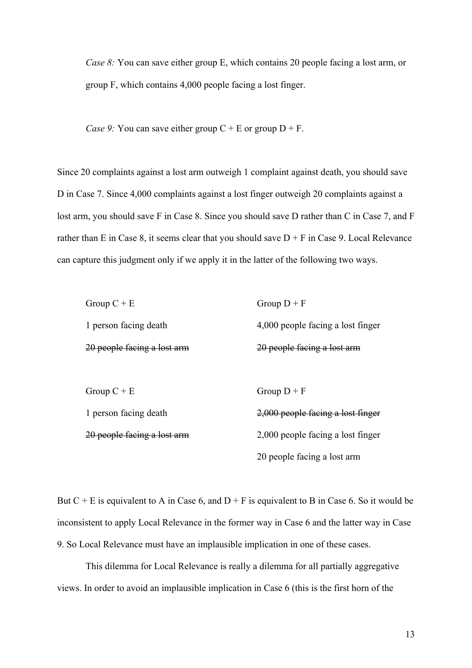*Case 8:* You can save either group E, which contains 20 people facing a lost arm, or group F, which contains 4,000 people facing a lost finger.

*Case 9:* You can save either group  $C + E$  or group  $D + F$ .

Since 20 complaints against a lost arm outweigh 1 complaint against death, you should save D in Case 7. Since 4,000 complaints against a lost finger outweigh 20 complaints against a lost arm, you should save F in Case 8. Since you should save D rather than C in Case 7, and F rather than E in Case 8, it seems clear that you should save  $D + F$  in Case 9. Local Relevance can capture this judgment only if we apply it in the latter of the following two ways.

| Group $C + E$               | Group $D + F$                     |
|-----------------------------|-----------------------------------|
| 1 person facing death       | 4,000 people facing a lost finger |
| 20 people facing a lost arm | 20 people facing a lost arm       |
|                             |                                   |
| Group $C + E$               | Group $D + F$                     |
| 1 person facing death       | 2,000 people facing a lost finger |
| 20 people facing a lost arm | 2,000 people facing a lost finger |
|                             | 20 people facing a lost arm       |

But  $C + E$  is equivalent to A in Case 6, and  $D + F$  is equivalent to B in Case 6. So it would be inconsistent to apply Local Relevance in the former way in Case 6 and the latter way in Case 9. So Local Relevance must have an implausible implication in one of these cases.

This dilemma for Local Relevance is really a dilemma for all partially aggregative views. In order to avoid an implausible implication in Case 6 (this is the first horn of the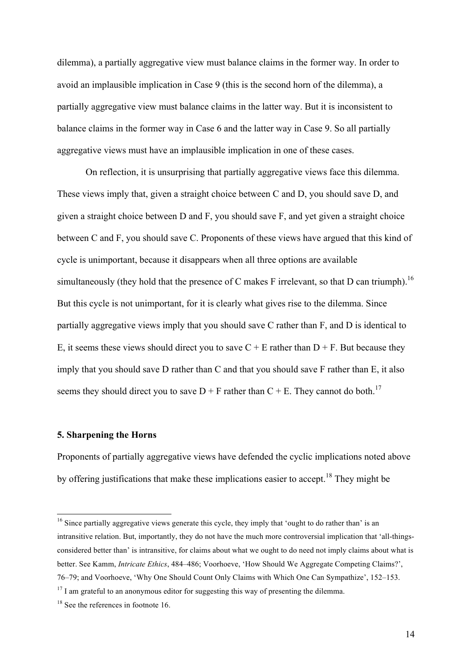dilemma), a partially aggregative view must balance claims in the former way. In order to avoid an implausible implication in Case 9 (this is the second horn of the dilemma), a partially aggregative view must balance claims in the latter way. But it is inconsistent to balance claims in the former way in Case 6 and the latter way in Case 9. So all partially aggregative views must have an implausible implication in one of these cases.

On reflection, it is unsurprising that partially aggregative views face this dilemma. These views imply that, given a straight choice between C and D, you should save D, and given a straight choice between D and F, you should save F, and yet given a straight choice between C and F, you should save C. Proponents of these views have argued that this kind of cycle is unimportant, because it disappears when all three options are available simultaneously (they hold that the presence of C makes F irrelevant, so that D can triumph).<sup>16</sup> But this cycle is not unimportant, for it is clearly what gives rise to the dilemma. Since partially aggregative views imply that you should save C rather than F, and D is identical to E, it seems these views should direct you to save  $C + E$  rather than  $D + F$ . But because they imply that you should save D rather than C and that you should save F rather than E, it also seems they should direct you to save  $D + F$  rather than  $C + E$ . They cannot do both.<sup>17</sup>

#### **5. Sharpening the Horns**

Proponents of partially aggregative views have defended the cyclic implications noted above by offering justifications that make these implications easier to accept.<sup>18</sup> They might be

<sup>&</sup>lt;sup>16</sup> Since partially aggregative views generate this cycle, they imply that 'ought to do rather than' is an intransitive relation. But, importantly, they do not have the much more controversial implication that 'all-thingsconsidered better than' is intransitive, for claims about what we ought to do need not imply claims about what is better. See Kamm, *Intricate Ethics*, 484–486; Voorhoeve, 'How Should We Aggregate Competing Claims?', 76–79; and Voorhoeve, 'Why One Should Count Only Claims with Which One Can Sympathize', 152–153.

 $17$  I am grateful to an anonymous editor for suggesting this way of presenting the dilemma.

<sup>&</sup>lt;sup>18</sup> See the references in footnote 16.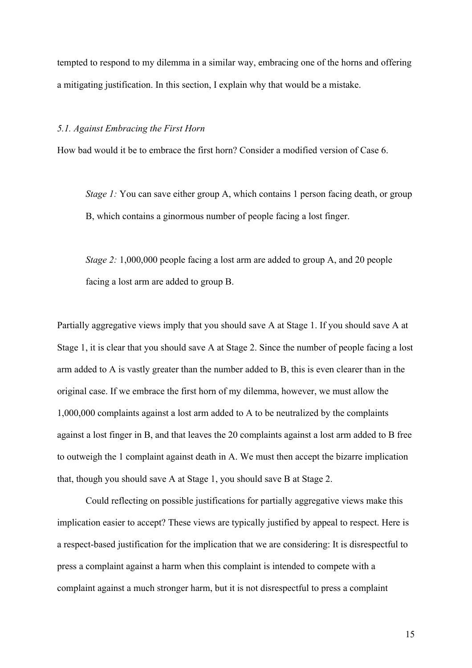tempted to respond to my dilemma in a similar way, embracing one of the horns and offering a mitigating justification. In this section, I explain why that would be a mistake.

#### *5.1. Against Embracing the First Horn*

How bad would it be to embrace the first horn? Consider a modified version of Case 6.

*Stage 1:* You can save either group A, which contains 1 person facing death, or group B, which contains a ginormous number of people facing a lost finger.

*Stage 2:* 1,000,000 people facing a lost arm are added to group A, and 20 people facing a lost arm are added to group B.

Partially aggregative views imply that you should save A at Stage 1. If you should save A at Stage 1, it is clear that you should save A at Stage 2. Since the number of people facing a lost arm added to A is vastly greater than the number added to B, this is even clearer than in the original case. If we embrace the first horn of my dilemma, however, we must allow the 1,000,000 complaints against a lost arm added to A to be neutralized by the complaints against a lost finger in B, and that leaves the 20 complaints against a lost arm added to B free to outweigh the 1 complaint against death in A. We must then accept the bizarre implication that, though you should save A at Stage 1, you should save B at Stage 2.

Could reflecting on possible justifications for partially aggregative views make this implication easier to accept? These views are typically justified by appeal to respect. Here is a respect-based justification for the implication that we are considering: It is disrespectful to press a complaint against a harm when this complaint is intended to compete with a complaint against a much stronger harm, but it is not disrespectful to press a complaint

15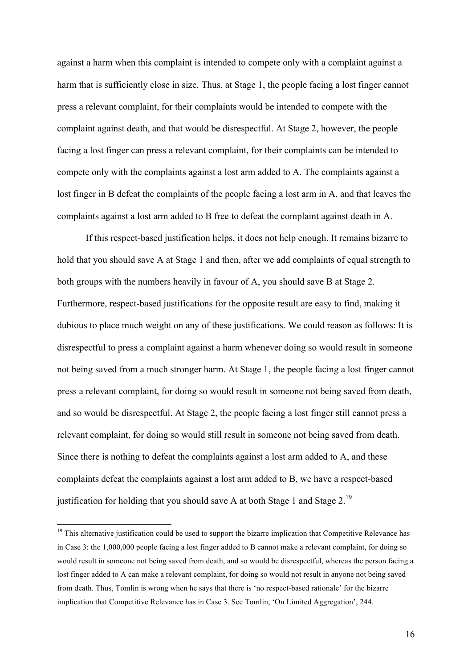against a harm when this complaint is intended to compete only with a complaint against a harm that is sufficiently close in size. Thus, at Stage 1, the people facing a lost finger cannot press a relevant complaint, for their complaints would be intended to compete with the complaint against death, and that would be disrespectful. At Stage 2, however, the people facing a lost finger can press a relevant complaint, for their complaints can be intended to compete only with the complaints against a lost arm added to A. The complaints against a lost finger in B defeat the complaints of the people facing a lost arm in A, and that leaves the complaints against a lost arm added to B free to defeat the complaint against death in A.

If this respect-based justification helps, it does not help enough. It remains bizarre to hold that you should save A at Stage 1 and then, after we add complaints of equal strength to both groups with the numbers heavily in favour of A, you should save B at Stage 2. Furthermore, respect-based justifications for the opposite result are easy to find, making it dubious to place much weight on any of these justifications. We could reason as follows: It is disrespectful to press a complaint against a harm whenever doing so would result in someone not being saved from a much stronger harm. At Stage 1, the people facing a lost finger cannot press a relevant complaint, for doing so would result in someone not being saved from death, and so would be disrespectful. At Stage 2, the people facing a lost finger still cannot press a relevant complaint, for doing so would still result in someone not being saved from death. Since there is nothing to defeat the complaints against a lost arm added to A, and these complaints defeat the complaints against a lost arm added to B, we have a respect-based justification for holding that you should save A at both Stage 1 and Stage  $2^{19}$ .

<sup>&</sup>lt;sup>19</sup> This alternative justification could be used to support the bizarre implication that Competitive Relevance has in Case 3: the 1,000,000 people facing a lost finger added to B cannot make a relevant complaint, for doing so would result in someone not being saved from death, and so would be disrespectful, whereas the person facing a lost finger added to A can make a relevant complaint, for doing so would not result in anyone not being saved from death. Thus, Tomlin is wrong when he says that there is 'no respect-based rationale' for the bizarre implication that Competitive Relevance has in Case 3. See Tomlin, 'On Limited Aggregation', 244.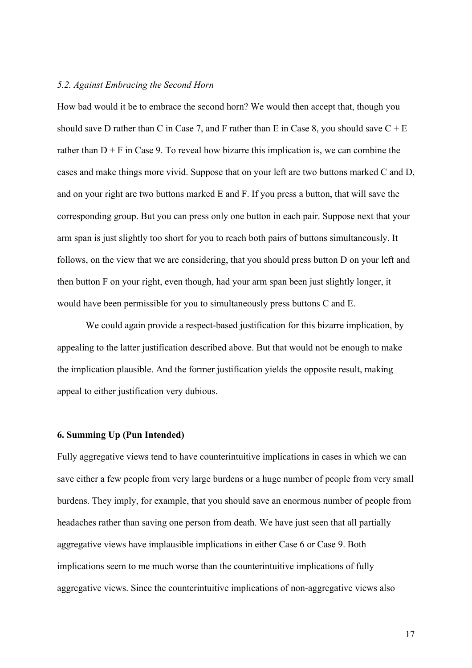#### *5.2. Against Embracing the Second Horn*

How bad would it be to embrace the second horn? We would then accept that, though you should save D rather than C in Case 7, and F rather than E in Case 8, you should save  $C + E$ rather than  $D + F$  in Case 9. To reveal how bizarre this implication is, we can combine the cases and make things more vivid. Suppose that on your left are two buttons marked C and D, and on your right are two buttons marked E and F. If you press a button, that will save the corresponding group. But you can press only one button in each pair. Suppose next that your arm span is just slightly too short for you to reach both pairs of buttons simultaneously. It follows, on the view that we are considering, that you should press button D on your left and then button F on your right, even though, had your arm span been just slightly longer, it would have been permissible for you to simultaneously press buttons C and E.

We could again provide a respect-based justification for this bizarre implication, by appealing to the latter justification described above. But that would not be enough to make the implication plausible. And the former justification yields the opposite result, making appeal to either justification very dubious.

# **6. Summing Up (Pun Intended)**

Fully aggregative views tend to have counterintuitive implications in cases in which we can save either a few people from very large burdens or a huge number of people from very small burdens. They imply, for example, that you should save an enormous number of people from headaches rather than saving one person from death. We have just seen that all partially aggregative views have implausible implications in either Case 6 or Case 9. Both implications seem to me much worse than the counterintuitive implications of fully aggregative views. Since the counterintuitive implications of non-aggregative views also

17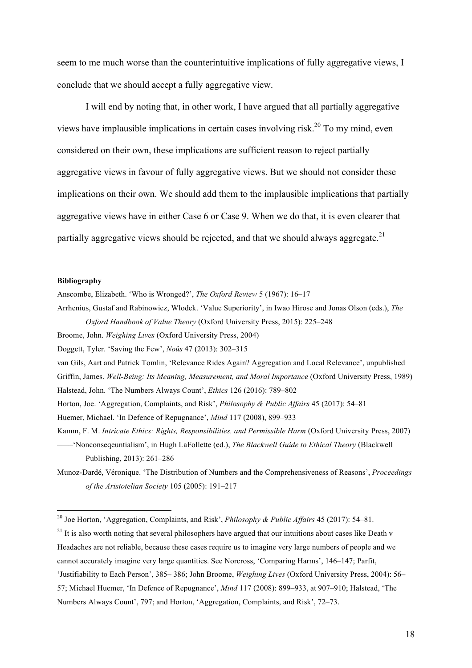seem to me much worse than the counterintuitive implications of fully aggregative views, I conclude that we should accept a fully aggregative view.

I will end by noting that, in other work, I have argued that all partially aggregative views have implausible implications in certain cases involving risk.<sup>20</sup> To my mind, even considered on their own, these implications are sufficient reason to reject partially aggregative views in favour of fully aggregative views. But we should not consider these implications on their own. We should add them to the implausible implications that partially aggregative views have in either Case 6 or Case 9. When we do that, it is even clearer that partially aggregative views should be rejected, and that we should always aggregate. $21$ 

#### **Bibliography**

Anscombe, Elizabeth. 'Who is Wronged?', *The Oxford Review* 5 (1967): 16–17

Arrhenius, Gustaf and Rabinowicz, Wlodek. 'Value Superiority', in Iwao Hirose and Jonas Olson (eds.), *The Oxford Handbook of Value Theory* (Oxford University Press, 2015): 225–248

Broome, John. *Weighing Lives* (Oxford University Press, 2004)

Doggett, Tyler. 'Saving the Few', *Noûs* 47 (2013): 302–315

van Gils, Aart and Patrick Tomlin, 'Relevance Rides Again? Aggregation and Local Relevance', unpublished Griffin, James. *Well-Being: Its Meaning, Measurement, and Moral Importance* (Oxford University Press, 1989) Halstead, John. 'The Numbers Always Count', *Ethics* 126 (2016): 789–802

Horton, Joe. 'Aggregation, Complaints, and Risk', *Philosophy & Public Affairs* 45 (2017): 54–81

Huemer, Michael. 'In Defence of Repugnance', *Mind* 117 (2008), 899–933

Kamm, F. M. *Intricate Ethics: Rights, Responsibilities, and Permissible Harm* (Oxford University Press, 2007)

––––'Nonconseqeuntialism', in Hugh LaFollette (ed.), *The Blackwell Guide to Ethical Theory* (Blackwell Publishing, 2013): 261–286

Munoz-Dardé, Véronique. 'The Distribution of Numbers and the Comprehensiveness of Reasons', *Proceedings of the Aristotelian Society* 105 (2005): 191–217

 $21$  It is also worth noting that several philosophers have argued that our intuitions about cases like Death v Headaches are not reliable, because these cases require us to imagine very large numbers of people and we cannot accurately imagine very large quantities. See Norcross, 'Comparing Harms', 146–147; Parfit, 'Justifiability to Each Person', 385– 386; John Broome, *Weighing Lives* (Oxford University Press, 2004): 56– 57; Michael Huemer, 'In Defence of Repugnance', *Mind* 117 (2008): 899–933, at 907–910; Halstead, 'The Numbers Always Count', 797; and Horton, 'Aggregation, Complaints, and Risk', 72–73.

 <sup>20</sup> Joe Horton, 'Aggregation, Complaints, and Risk', *Philosophy & Public Affairs* 45 (2017): 54–81.